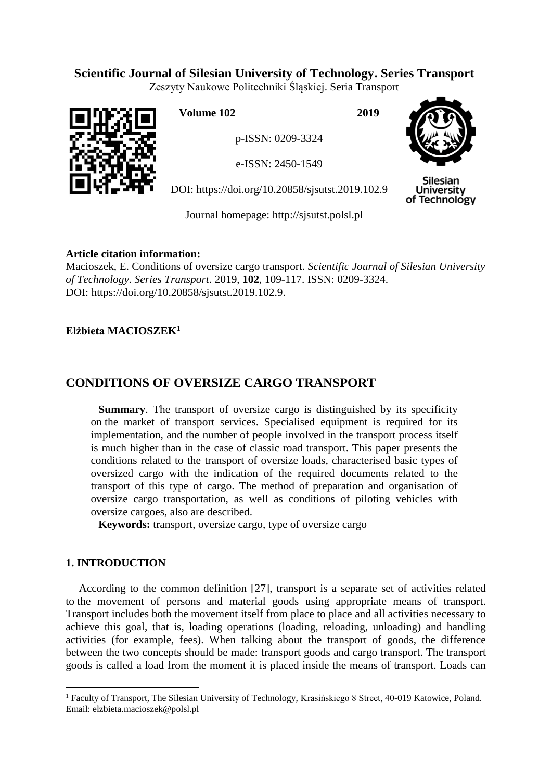## **Scientific Journal of Silesian University of Technology. Series Transport**

Zeszyty Naukowe Politechniki Śląskiej. Seria Transport



**Volume 102 2019**

p-ISSN: 0209-3324

e-ISSN: 2450-1549

DOI: https://doi.org/10.20858/sjsutst.2019.102.9



Silesian **University** of Technology

Journal homepage: [http://sjsutst.polsl.pl](http://sjsutst.polsl.pl/)

### **Article citation information:**

Macioszek, E. Conditions of oversize cargo transport. *Scientific Journal of Silesian University of Technology. Series Transport*. 2019, **102**, 109-117. ISSN: 0209-3324. DOI: https://doi.org/10.20858/sjsutst.2019.102.9.

### **Elżbieta MACIOSZEK<sup>1</sup>**

# **CONDITIONS OF OVERSIZE CARGO TRANSPORT**

**Summary**. The transport of oversize cargo is distinguished by its specificity on the market of transport services. Specialised equipment is required for its implementation, and the number of people involved in the transport process itself is much higher than in the case of classic road transport. This paper presents the conditions related to the transport of oversize loads, characterised basic types of oversized cargo with the indication of the required documents related to the transport of this type of cargo. The method of preparation and organisation of oversize cargo transportation, as well as conditions of piloting vehicles with oversize cargoes, also are described.

**Keywords:** transport, oversize cargo, type of oversize cargo

### **1. INTRODUCTION**

 $\overline{a}$ 

According to the common definition [27], transport is a separate set of activities related to the movement of persons and material goods using appropriate means of transport. Transport includes both the movement itself from place to place and all activities necessary to achieve this goal, that is, loading operations (loading, reloading, unloading) and handling activities (for example, fees). When talking about the transport of goods, the difference between the two concepts should be made: transport goods and cargo transport. The transport goods is called a load from the moment it is placed inside the means of transport. Loads can

<sup>&</sup>lt;sup>1</sup> Faculty of Transport, The Silesian University of Technology, Krasińskiego 8 Street, 40-019 Katowice, Poland. Email: elzbieta.macioszek@polsl.pl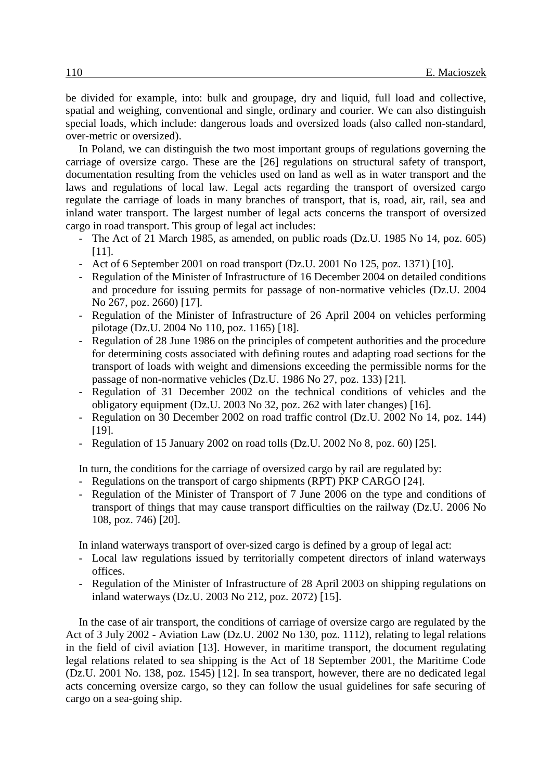be divided for example, into: bulk and groupage, dry and liquid, full load and collective, spatial and weighing, conventional and single, ordinary and courier. We can also distinguish special loads, which include: dangerous loads and oversized loads (also called non-standard, over-metric or oversized).

In Poland, we can distinguish the two most important groups of regulations governing the carriage of oversize cargo. These are the [26] regulations on structural safety of transport, documentation resulting from the vehicles used on land as well as in water transport and the laws and regulations of local law. Legal acts regarding the transport of oversized cargo regulate the carriage of loads in many branches of transport, that is, road, air, rail, sea and inland water transport. The largest number of legal acts concerns the transport of oversized cargo in road transport. This group of legal act includes:

- The Act of 21 March 1985, as amended, on public roads (Dz.U. 1985 No 14, poz. 605) [11].
- Act of 6 September 2001 on road transport (Dz.U. 2001 No 125, poz. 1371) [10].
- Regulation of the Minister of Infrastructure of 16 December 2004 on detailed conditions and procedure for issuing permits for passage of non-normative vehicles (Dz.U. 2004 No 267, poz. 2660) [17].
- Regulation of the Minister of Infrastructure of 26 April 2004 on vehicles performing pilotage (Dz.U. 2004 No 110, poz. 1165) [18].
- Regulation of 28 June 1986 on the principles of competent authorities and the procedure for determining costs associated with defining routes and adapting road sections for the transport of loads with weight and dimensions exceeding the permissible norms for the passage of non-normative vehicles (Dz.U. 1986 No 27, poz. 133) [21].
- Regulation of 31 December 2002 on the technical conditions of vehicles and the obligatory equipment (Dz.U. 2003 No 32, poz. 262 with later changes) [16].
- Regulation on 30 December 2002 on road traffic control (Dz.U. 2002 No 14, poz. 144) [19].
- Regulation of 15 January 2002 on road tolls (Dz.U. 2002 No 8, poz. 60) [25].

In turn, the conditions for the carriage of oversized cargo by rail are regulated by:

- Regulations on the transport of cargo shipments (RPT) PKP CARGO [24].
- Regulation of the Minister of Transport of 7 June 2006 on the type and conditions of transport of things that may cause transport difficulties on the railway (Dz.U. 2006 No 108, poz. 746) [20].

In inland waterways transport of over-sized cargo is defined by a group of legal act:

- Local law regulations issued by territorially competent directors of inland waterways offices.
- Regulation of the Minister of Infrastructure of 28 April 2003 on shipping regulations on inland waterways (Dz.U. 2003 No 212, poz. 2072) [15].

In the case of air transport, the conditions of carriage of oversize cargo are regulated by the Act of 3 July 2002 - Aviation Law (Dz.U. 2002 No 130, poz. 1112), relating to legal relations in the field of civil aviation [13]. However, in maritime transport, the document regulating legal relations related to sea shipping is the Act of 18 September 2001, the Maritime Code (Dz.U. 2001 No. 138, poz. 1545) [12]. In sea transport, however, there are no dedicated legal acts concerning oversize cargo, so they can follow the usual guidelines for safe securing of cargo on a sea-going ship.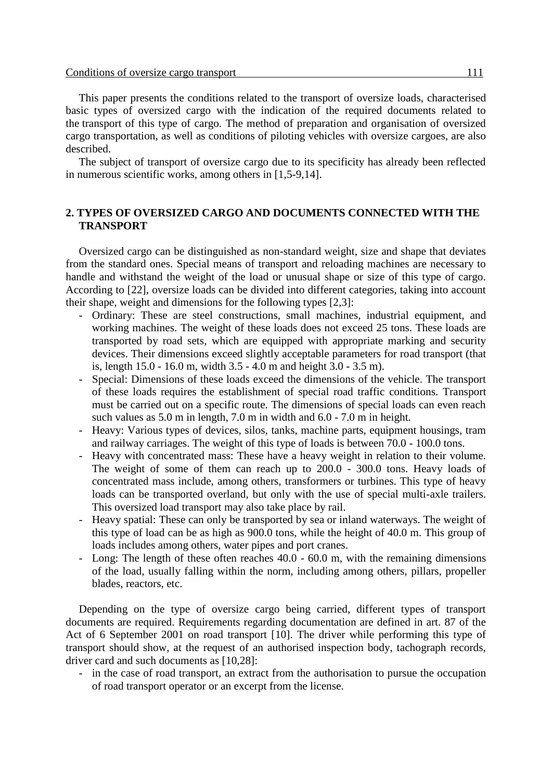This paper presents the conditions related to the transport of oversize loads, characterised basic types of oversized cargo with the indication of the required documents related to the transport of this type of cargo. The method of preparation and organisation of oversized cargo transportation, as well as conditions of piloting vehicles with oversize cargoes, are also described.

The subject of transport of oversize cargo due to its specificity has already been reflected in numerous scientific works, among others in [1,5-9,14].

### **2. TYPES OF OVERSIZED CARGO AND DOCUMENTS CONNECTED WITH THE TRANSPORT**

Oversized cargo can be distinguished as non-standard weight, size and shape that deviates from the standard ones. Special means of transport and reloading machines are necessary to handle and withstand the weight of the load or unusual shape or size of this type of cargo. According to [22], oversize loads can be divided into different categories, taking into account their shape, weight and dimensions for the following types [2,3]:

- Ordinary: These are steel constructions, small machines, industrial equipment, and working machines. The weight of these loads does not exceed 25 tons. These loads are transported by road sets, which are equipped with appropriate marking and security devices. Their dimensions exceed slightly acceptable parameters for road transport (that is, length 15.0 - 16.0 m, width 3.5 - 4.0 m and height 3.0 - 3.5 m).
- Special: Dimensions of these loads exceed the dimensions of the vehicle. The transport of these loads requires the establishment of special road traffic conditions. Transport must be carried out on a specific route. The dimensions of special loads can even reach such values as 5.0 m in length, 7.0 m in width and 6.0 - 7.0 m in height.
- Heavy: Various types of devices, silos, tanks, machine parts, equipment housings, tram and railway carriages. The weight of this type of loads is between 70.0 - 100.0 tons.
- Heavy with concentrated mass: These have a heavy weight in relation to their volume. The weight of some of them can reach up to 200.0 - 300.0 tons. Heavy loads of concentrated mass include, among others, transformers or turbines. This type of heavy loads can be transported overland, but only with the use of special multi-axle trailers. This oversized load transport may also take place by rail.
- Heavy spatial: These can only be transported by sea or inland waterways. The weight of this type of load can be as high as 900.0 tons, while the height of 40.0 m. This group of loads includes among others, water pipes and port cranes.
- Long: The length of these often reaches 40.0 60.0 m, with the remaining dimensions of the load, usually falling within the norm, including among others, pillars, propeller blades, reactors, etc.

Depending on the type of oversize cargo being carried, different types of transport documents are required. Requirements regarding documentation are defined in art. 87 of the Act of 6 September 2001 on road transport [10]. The driver while performing this type of transport should show, at the request of an authorised inspection body, tachograph records, driver card and such documents as [10,28]:

- in the case of road transport, an extract from the authorisation to pursue the occupation of road transport operator or an excerpt from the license.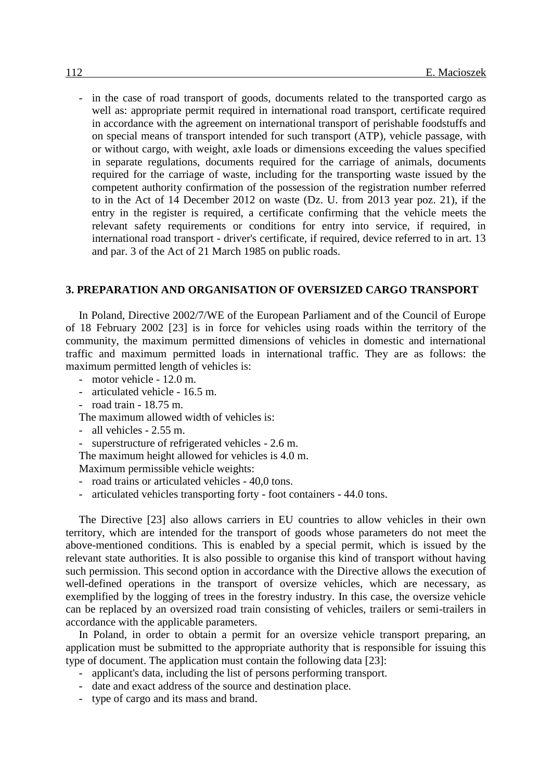- in the case of road transport of goods, documents related to the transported cargo as well as: appropriate permit required in international road transport, certificate required in accordance with the agreement on international transport of perishable foodstuffs and on special means of transport intended for such transport (ATP), vehicle passage, with or without cargo, with weight, axle loads or dimensions exceeding the values specified in separate regulations, documents required for the carriage of animals, documents required for the carriage of waste, including for the transporting waste issued by the competent authority confirmation of the possession of the registration number referred to in the Act of 14 December 2012 on waste (Dz. U. from 2013 year poz. 21), if the entry in the register is required, a certificate confirming that the vehicle meets the relevant safety requirements or conditions for entry into service, if required, in international road transport - driver's certificate, if required, device referred to in art. 13 and par. 3 of the Act of 21 March 1985 on public roads.

#### **3. PREPARATION AND ORGANISATION OF OVERSIZED CARGO TRANSPORT**

In Poland, Directive 2002/7/WE of the European Parliament and of the Council of Europe of 18 February 2002 [23] is in force for vehicles using roads within the territory of the community, the maximum permitted dimensions of vehicles in domestic and international traffic and maximum permitted loads in international traffic. They are as follows: the maximum permitted length of vehicles is:

- motor vehicle 12.0 m.
- articulated vehicle 16.5 m.
- road train 18.75 m.
- The maximum allowed width of vehicles is:
- all vehicles 2.55 m.
- superstructure of refrigerated vehicles 2.6 m.
- The maximum height allowed for vehicles is 4.0 m.

Maximum permissible vehicle weights:

- road trains or articulated vehicles 40,0 tons.
- articulated vehicles transporting forty foot containers 44.0 tons.

The Directive [23] also allows carriers in EU countries to allow vehicles in their own territory, which are intended for the transport of goods whose parameters do not meet the above-mentioned conditions. This is enabled by a special permit, which is issued by the relevant state authorities. It is also possible to organise this kind of transport without having such permission. This second option in accordance with the Directive allows the execution of well-defined operations in the transport of oversize vehicles, which are necessary, as exemplified by the logging of trees in the forestry industry. In this case, the oversize vehicle can be replaced by an oversized road train consisting of vehicles, trailers or semi-trailers in accordance with the applicable parameters.

In Poland, in order to obtain a permit for an oversize vehicle transport preparing, an application must be submitted to the appropriate authority that is responsible for issuing this type of document. The application must contain the following data [23]:

- applicant's data, including the list of persons performing transport.
- date and exact address of the source and destination place.
- type of cargo and its mass and brand.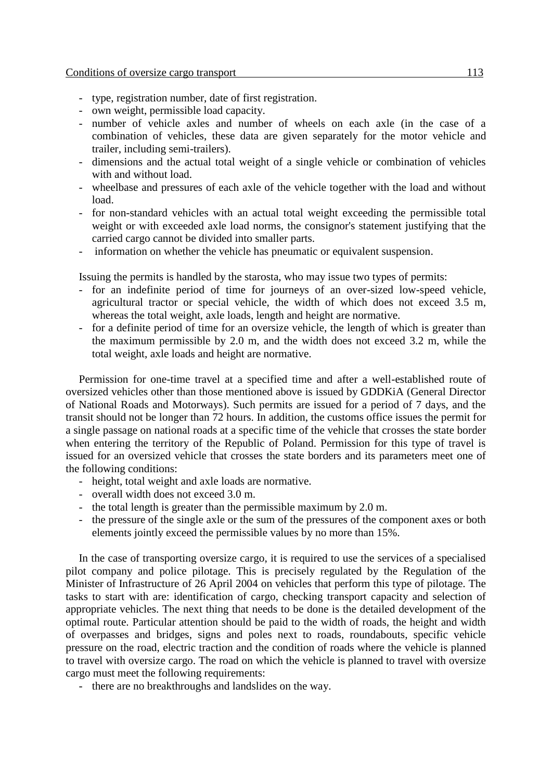- type, registration number, date of first registration.
- own weight, permissible load capacity.
- number of vehicle axles and number of wheels on each axle (in the case of a combination of vehicles, these data are given separately for the motor vehicle and trailer, including semi-trailers).
- dimensions and the actual total weight of a single vehicle or combination of vehicles with and without load.
- wheelbase and pressures of each axle of the vehicle together with the load and without load.
- for non-standard vehicles with an actual total weight exceeding the permissible total weight or with exceeded axle load norms, the consignor's statement justifying that the carried cargo cannot be divided into smaller parts.
- information on whether the vehicle has pneumatic or equivalent suspension.

Issuing the permits is handled by the starosta, who may issue two types of permits:

- for an indefinite period of time for journeys of an over-sized low-speed vehicle, agricultural tractor or special vehicle, the width of which does not exceed 3.5 m, whereas the total weight, axle loads, length and height are normative.
- for a definite period of time for an oversize vehicle, the length of which is greater than the maximum permissible by 2.0 m, and the width does not exceed 3.2 m, while the total weight, axle loads and height are normative.

Permission for one-time travel at a specified time and after a well-established route of oversized vehicles other than those mentioned above is issued by GDDKiA (General Director of National Roads and Motorways). Such permits are issued for a period of 7 days, and the transit should not be longer than 72 hours. In addition, the customs office issues the permit for a single passage on national roads at a specific time of the vehicle that crosses the state border when entering the territory of the Republic of Poland. Permission for this type of travel is issued for an oversized vehicle that crosses the state borders and its parameters meet one of the following conditions:

- height, total weight and axle loads are normative.
- overall width does not exceed 3.0 m.
- the total length is greater than the permissible maximum by 2.0 m.
- the pressure of the single axle or the sum of the pressures of the component axes or both elements jointly exceed the permissible values by no more than 15%.

In the case of transporting oversize cargo, it is required to use the services of a specialised pilot company and police pilotage. This is precisely regulated by the Regulation of the Minister of Infrastructure of 26 April 2004 on vehicles that perform this type of pilotage. The tasks to start with are: identification of cargo, checking transport capacity and selection of appropriate vehicles. The next thing that needs to be done is the detailed development of the optimal route. Particular attention should be paid to the width of roads, the height and width of overpasses and bridges, signs and poles next to roads, roundabouts, specific vehicle pressure on the road, electric traction and the condition of roads where the vehicle is planned to travel with oversize cargo. The road on which the vehicle is planned to travel with oversize cargo must meet the following requirements:

- there are no breakthroughs and landslides on the way.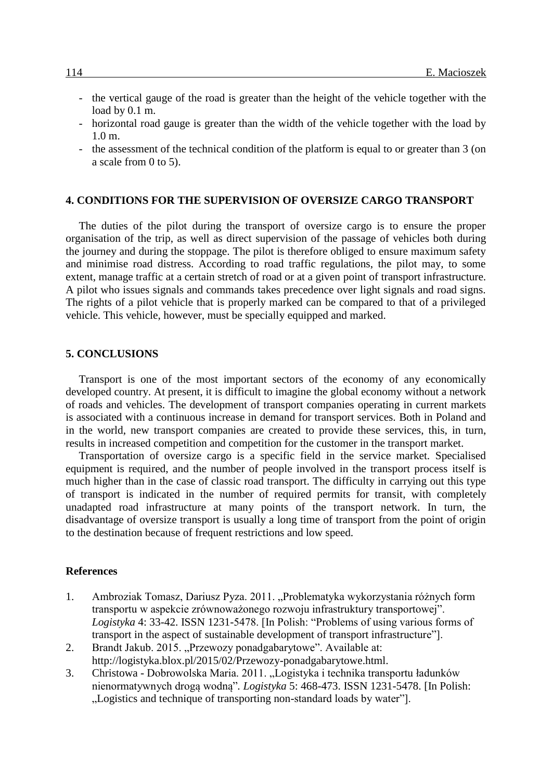- the vertical gauge of the road is greater than the height of the vehicle together with the load by 0.1 m.
- horizontal road gauge is greater than the width of the vehicle together with the load by 1.0 m.
- the assessment of the technical condition of the platform is equal to or greater than 3 (on a scale from 0 to 5).

#### **4. CONDITIONS FOR THE SUPERVISION OF OVERSIZE CARGO TRANSPORT**

The duties of the pilot during the transport of oversize cargo is to ensure the proper organisation of the trip, as well as direct supervision of the passage of vehicles both during the journey and during the stoppage. The pilot is therefore obliged to ensure maximum safety and minimise road distress. According to road traffic regulations, the pilot may, to some extent, manage traffic at a certain stretch of road or at a given point of transport infrastructure. A pilot who issues signals and commands takes precedence over light signals and road signs. The rights of a pilot vehicle that is properly marked can be compared to that of a privileged vehicle. This vehicle, however, must be specially equipped and marked.

#### **5. CONCLUSIONS**

Transport is one of the most important sectors of the economy of any economically developed country. At present, it is difficult to imagine the global economy without a network of roads and vehicles. The development of transport companies operating in current markets is associated with a continuous increase in demand for transport services. Both in Poland and in the world, new transport companies are created to provide these services, this, in turn, results in increased competition and competition for the customer in the transport market.

Transportation of oversize cargo is a specific field in the service market. Specialised equipment is required, and the number of people involved in the transport process itself is much higher than in the case of classic road transport. The difficulty in carrying out this type of transport is indicated in the number of required permits for transit, with completely unadapted road infrastructure at many points of the transport network. In turn, the disadvantage of oversize transport is usually a long time of transport from the point of origin to the destination because of frequent restrictions and low speed.

#### **References**

- 1. Ambroziak Tomasz, Dariusz Pyza. 2011. "Problematyka wykorzystania różnych form transportu w aspekcie zrównoważonego rozwoju infrastruktury transportowej". *Logistyka* 4: 33-42. ISSN 1231-5478. [In Polish: "Problems of using various forms of transport in the aspect of sustainable development of transport infrastructure"].
- 2. Brandt Jakub. 2015. "Przewozy ponadgabarytowe". Available at: http://logistyka.blox.pl/2015/02/Przewozy-ponadgabarytowe.html.
- 3. Christowa Dobrowolska Maria. 2011. "Logistyka i technika transportu ładunków nienormatywnych drogą wodną"*. Logistyka* 5: 468-473. ISSN 1231-5478. [In Polish: ...Logistics and technique of transporting non-standard loads by water"...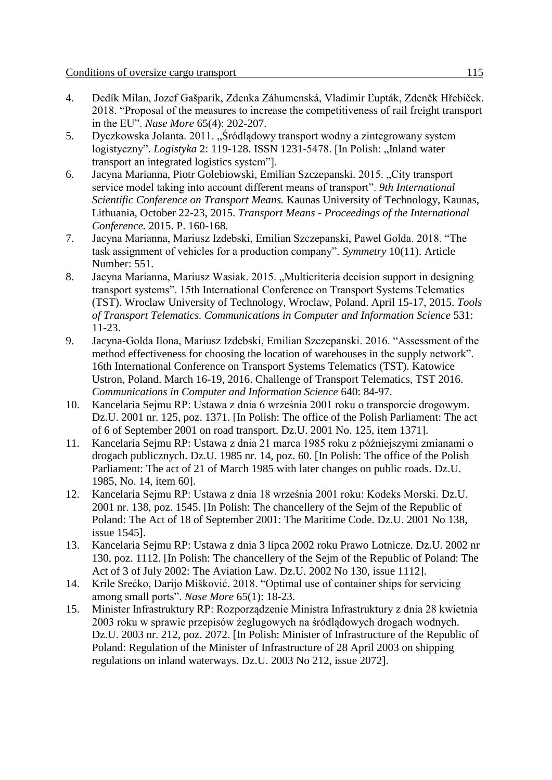- 4. Dedík Milan, Jozef Gašparík, Zdenka Záhumenská, Vladimír Ľupták, Zdeněk Hřebíček. 2018. "Proposal of the measures to increase the competitiveness of rail freight transport in the EU". *Nase More* 65(4): 202-207.
- 5. Dyczkowska Jolanta. 2011. "Śródlądowy transport wodny a zintegrowany system logistyczny". *Logistyka* 2: 119-128. ISSN 1231-5478. [In Polish: "Inland water transport an integrated logistics system"].
- 6. Jacyna Marianna, Piotr Golebiowski, Emilian Szczepanski. 2015. "City transport service model taking into account different means of transport". *9th International Scientific Conference on Transport Means.* Kaunas University of Technology, Kaunas, Lithuania, October 22-23, 2015. *Transport Means - Proceedings of the International Conference.* 2015. P. 160-168.
- 7. Jacyna Marianna, Mariusz Izdebski, Emilian Szczepanski, Pawel Golda. 2018. "The task assignment of vehicles for a production company". *Symmetry* 10(11). Article Number: 551.
- 8. Jacyna Marianna, Mariusz Wasiak. 2015. "Multicriteria decision support in designing transport systems". 15th International Conference on Transport Systems Telematics (TST). Wroclaw University of Technology, Wroclaw, Poland. April 15-17, 2015. *Tools of Transport Telematics. Communications in Computer and Information Science* 531: 11-23.
- 9. Jacyna-Golda Ilona, Mariusz Izdebski, Emilian Szczepanski. 2016. "Assessment of the method effectiveness for choosing the location of warehouses in the supply network". 16th International Conference on Transport Systems Telematics (TST). Katowice Ustron, Poland. March 16-19, 2016. Challenge of Transport Telematics, TST 2016. *Communications in Computer and Information Science* 640: 84-97.
- 10. Kancelaria Sejmu RP: Ustawa z dnia 6 września 2001 roku o transporcie drogowym. Dz.U. 2001 nr. 125, poz. 1371. [In Polish: The office of the Polish Parliament: The act of 6 of September 2001 on road transport. Dz.U. 2001 No. 125, item 1371].
- 11. Kancelaria Sejmu RP: Ustawa z dnia 21 marca 1985 roku z późniejszymi zmianami o drogach publicznych. Dz.U. 1985 nr. 14, poz. 60. [In Polish: The office of the Polish Parliament: The act of 21 of March 1985 with later changes on public roads. Dz.U. 1985, No. 14, item 60].
- 12. Kancelaria Sejmu RP: Ustawa z dnia 18 września 2001 roku: Kodeks Morski. Dz.U. 2001 nr. 138, poz. 1545. [In Polish: The chancellery of the Sejm of the Republic of Poland: The Act of 18 of September 2001: The Maritime Code. Dz.U. 2001 No 138, issue 1545].
- 13. Kancelaria Sejmu RP: Ustawa z dnia 3 lipca 2002 roku Prawo Lotnicze. Dz.U. 2002 nr 130, poz. 1112. [In Polish: The chancellery of the Sejm of the Republic of Poland: The Act of 3 of July 2002: The Aviation Law. Dz.U. 2002 No 130, issue 1112].
- 14. Krile Srećko, Darijo Mišković. 2018. "Optimal use of container ships for servicing among small ports". *Nase More* 65(1): 18-23.
- 15. Minister Infrastruktury RP: Rozporządzenie Ministra Infrastruktury z dnia 28 kwietnia 2003 roku w sprawie przepisów żeglugowych na śródlądowych drogach wodnych. Dz.U. 2003 nr. 212, poz. 2072. [In Polish: Minister of Infrastructure of the Republic of Poland: Regulation of the Minister of Infrastructure of 28 April 2003 on shipping regulations on inland waterways. Dz.U. 2003 No 212, issue 2072].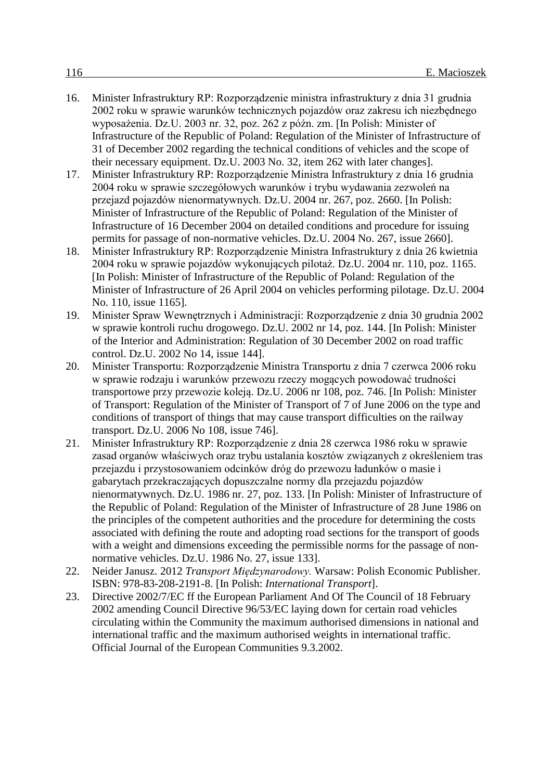- 16. Minister Infrastruktury RP: Rozporządzenie ministra infrastruktury z dnia 31 grudnia 2002 roku w sprawie warunków technicznych pojazdów oraz zakresu ich niezbędnego wyposażenia. Dz.U. 2003 nr. 32, poz. 262 z późn. zm. [In Polish: Minister of Infrastructure of the Republic of Poland: Regulation of the Minister of Infrastructure of 31 of December 2002 regarding the technical conditions of vehicles and the scope of their necessary equipment. Dz.U. 2003 No. 32, item 262 with later changes].
- 17. Minister Infrastruktury RP: Rozporządzenie Ministra Infrastruktury z dnia 16 grudnia 2004 roku w sprawie szczegółowych warunków i trybu wydawania zezwoleń na przejazd pojazdów nienormatywnych. Dz.U. 2004 nr. 267, poz. 2660. [In Polish: Minister of Infrastructure of the Republic of Poland: Regulation of the Minister of Infrastructure of 16 December 2004 on detailed conditions and procedure for issuing permits for passage of non-normative vehicles. Dz.U. 2004 No. 267, issue 2660].
- 18. Minister Infrastruktury RP: Rozporządzenie Ministra Infrastruktury z dnia 26 kwietnia 2004 roku w sprawie pojazdów wykonujących pilotaż. Dz.U. 2004 nr. 110, poz. 1165. [In Polish: Minister of Infrastructure of the Republic of Poland: Regulation of the Minister of Infrastructure of 26 April 2004 on vehicles performing pilotage. Dz.U. 2004 No. 110, issue 1165].
- 19. Minister Spraw Wewnętrznych i Administracji: Rozporządzenie z dnia 30 grudnia 2002 w sprawie kontroli ruchu drogowego. Dz.U. 2002 nr 14, poz. 144. [In Polish: Minister of the Interior and Administration: Regulation of 30 December 2002 on road traffic control. Dz.U. 2002 No 14, issue 144].
- 20. Minister Transportu: Rozporządzenie Ministra Transportu z dnia 7 czerwca 2006 roku w sprawie rodzaju i warunków przewozu rzeczy mogących powodować trudności transportowe przy przewozie koleją. Dz.U. 2006 nr 108, poz. 746. [In Polish: Minister of Transport: Regulation of the Minister of Transport of 7 of June 2006 on the type and conditions of transport of things that may cause transport difficulties on the railway transport. Dz.U. 2006 No 108, issue 746].
- 21. Minister Infrastruktury RP: Rozporządzenie z dnia 28 czerwca 1986 roku w sprawie zasad organów właściwych oraz trybu ustalania kosztów związanych z określeniem tras przejazdu i przystosowaniem odcinków dróg do przewozu ładunków o masie i gabarytach przekraczających dopuszczalne normy dla przejazdu pojazdów nienormatywnych. Dz.U. 1986 nr. 27, poz. 133. [In Polish: Minister of Infrastructure of the Republic of Poland: Regulation of the Minister of Infrastructure of 28 June 1986 on the principles of the competent authorities and the procedure for determining the costs associated with defining the route and adopting road sections for the transport of goods with a weight and dimensions exceeding the permissible norms for the passage of nonnormative vehicles. Dz.U. 1986 No. 27, issue 133].
- 22. Neider Janusz. 2012 *Transport Międzynarodowy.* Warsaw: Polish Economic Publisher. ISBN: 978-83-208-2191-8. [In Polish: *International Transport*].
- 23. Directive 2002/7/EC ff the European Parliament And Of The Council of 18 February 2002 amending Council Directive 96/53/EC laying down for certain road vehicles circulating within the Community the maximum authorised dimensions in national and international traffic and the maximum authorised weights in international traffic. Official Journal of the European Communities 9.3.2002.